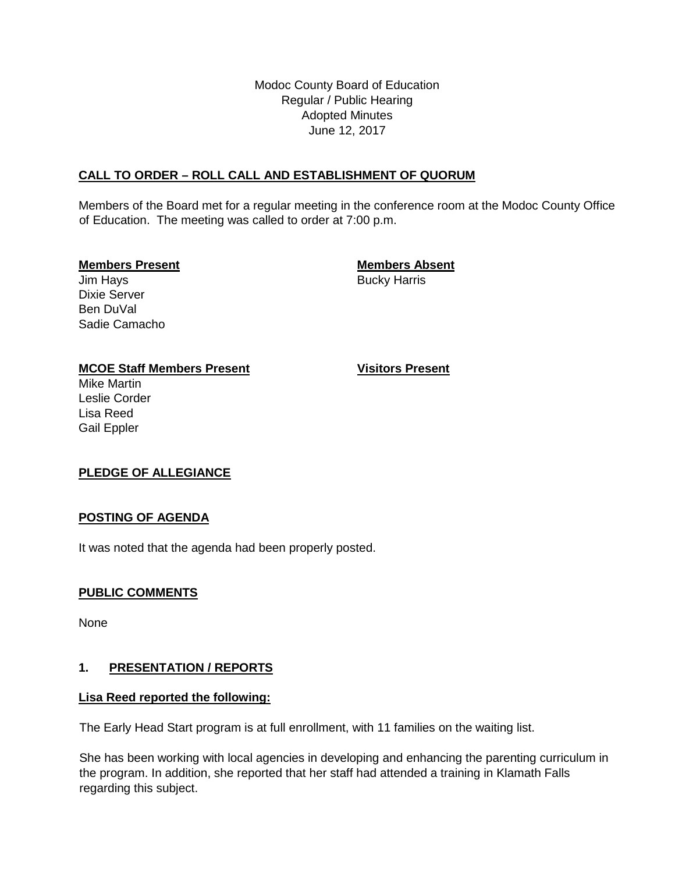Modoc County Board of Education Regular / Public Hearing Adopted Minutes June 12, 2017

### **CALL TO ORDER – ROLL CALL AND ESTABLISHMENT OF QUORUM**

Members of the Board met for a regular meeting in the conference room at the Modoc County Office of Education. The meeting was called to order at 7:00 p.m.

#### **Members Present Members Absent**

Jim Hays **Bucky Harris** Bucky Harris

Dixie Server Ben DuVal Sadie Camacho

# **MCOE Staff Members Present Visitors Present**

Mike Martin Leslie Corder Lisa Reed Gail Eppler

# **PLEDGE OF ALLEGIANCE**

### **POSTING OF AGENDA**

It was noted that the agenda had been properly posted.

# **PUBLIC COMMENTS**

None

# **1. PRESENTATION / REPORTS**

### **Lisa Reed reported the following:**

The Early Head Start program is at full enrollment, with 11 families on the waiting list.

She has been working with local agencies in developing and enhancing the parenting curriculum in the program. In addition, she reported that her staff had attended a training in Klamath Falls regarding this subject.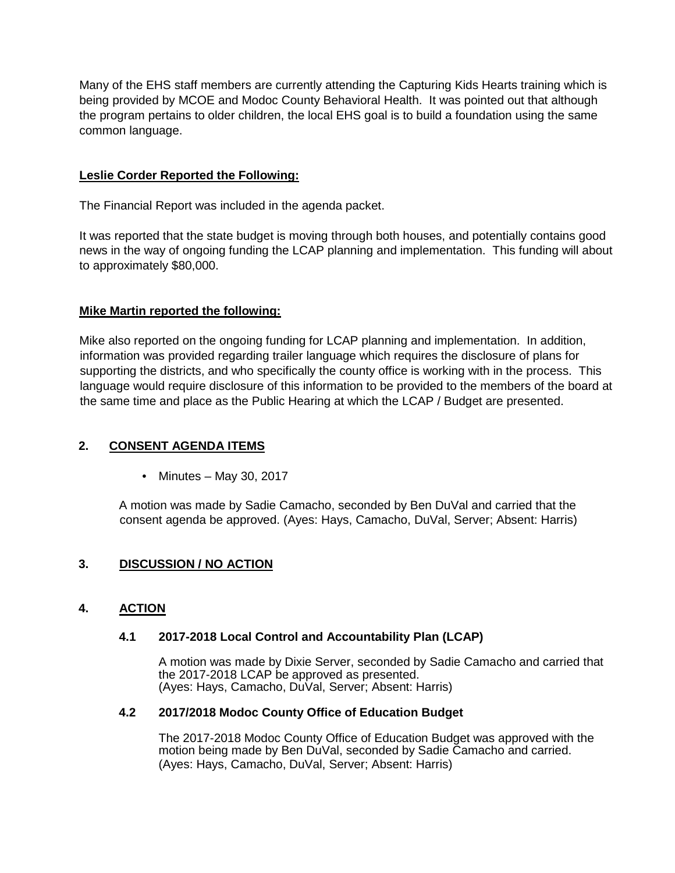Many of the EHS staff members are currently attending the Capturing Kids Hearts training which is being provided by MCOE and Modoc County Behavioral Health. It was pointed out that although the program pertains to older children, the local EHS goal is to build a foundation using the same common language.

### **Leslie Corder Reported the Following:**

The Financial Report was included in the agenda packet.

It was reported that the state budget is moving through both houses, and potentially contains good news in the way of ongoing funding the LCAP planning and implementation. This funding will about to approximately \$80,000.

### **Mike Martin reported the following:**

Mike also reported on the ongoing funding for LCAP planning and implementation. In addition, information was provided regarding trailer language which requires the disclosure of plans for supporting the districts, and who specifically the county office is working with in the process. This language would require disclosure of this information to be provided to the members of the board at the same time and place as the Public Hearing at which the LCAP / Budget are presented.

### **2. CONSENT AGENDA ITEMS**

• Minutes – May 30, 2017

A motion was made by Sadie Camacho, seconded by Ben DuVal and carried that the consent agenda be approved. (Ayes: Hays, Camacho, DuVal, Server; Absent: Harris)

# **3. DISCUSSION / NO ACTION**

### **4. ACTION**

### **4.1 2017-2018 Local Control and Accountability Plan (LCAP)**

A motion was made by Dixie Server, seconded by Sadie Camacho and carried that the 2017-2018 LCAP be approved as presented. (Ayes: Hays, Camacho, DuVal, Server; Absent: Harris)

### **4.2 2017/2018 Modoc County Office of Education Budget**

The 2017-2018 Modoc County Office of Education Budget was approved with the motion being made by Ben DuVal, seconded by Sadie Camacho and carried. (Ayes: Hays, Camacho, DuVal, Server; Absent: Harris)